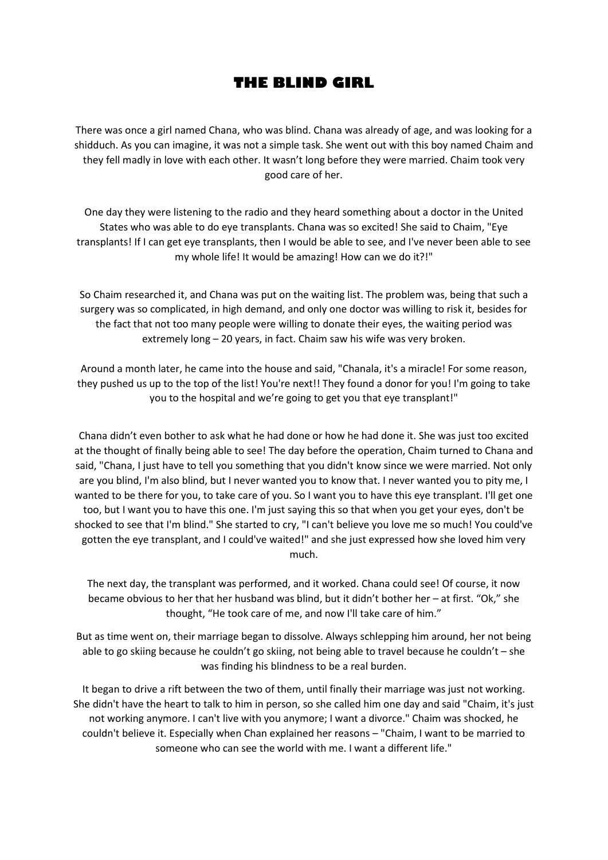## **THE BLIND GIRL**

There was once a girl named Chana, who was blind. Chana was already of age, and was looking for a shidduch. As you can imagine, it was not a simple task. She went out with this boy named Chaim and they fell madly in love with each other. It wasn't long before they were married. Chaim took very good care of her.

One day they were listening to the radio and they heard something about a doctor in the United States who was able to do eye transplants. Chana was so excited! She said to Chaim, "Eye transplants! If I can get eye transplants, then I would be able to see, and I've never been able to see my whole life! It would be amazing! How can we do it?!"

So Chaim researched it, and Chana was put on the waiting list. The problem was, being that such a surgery was so complicated, in high demand, and only one doctor was willing to risk it, besides for the fact that not too many people were willing to donate their eyes, the waiting period was extremely long – 20 years, in fact. Chaim saw his wife was very broken.

Around a month later, he came into the house and said, "Chanala, it's a miracle! For some reason, they pushed us up to the top of the list! You're next!! They found a donor for you! I'm going to take you to the hospital and we're going to get you that eye transplant!"

Chana didn't even bother to ask what he had done or how he had done it. She was just too excited at the thought of finally being able to see! The day before the operation, Chaim turned to Chana and said, "Chana, I just have to tell you something that you didn't know since we were married. Not only are you blind, I'm also blind, but I never wanted you to know that. I never wanted you to pity me, I wanted to be there for you, to take care of you. So I want you to have this eye transplant. I'll get one too, but I want you to have this one. I'm just saying this so that when you get your eyes, don't be shocked to see that I'm blind." She started to cry, "I can't believe you love me so much! You could've gotten the eye transplant, and I could've waited!" and she just expressed how she loved him very much.

The next day, the transplant was performed, and it worked. Chana could see! Of course, it now became obvious to her that her husband was blind, but it didn't bother her – at first. "Ok," she thought, "He took care of me, and now I'll take care of him."

But as time went on, their marriage began to dissolve. Always schlepping him around, her not being able to go skiing because he couldn't go skiing, not being able to travel because he couldn't – she was finding his blindness to be a real burden.

It began to drive a rift between the two of them, until finally their marriage was just not working. She didn't have the heart to talk to him in person, so she called him one day and said "Chaim, it's just not working anymore. I can't live with you anymore; I want a divorce." Chaim was shocked, he couldn't believe it. Especially when Chan explained her reasons – "Chaim, I want to be married to someone who can see the world with me. I want a different life."